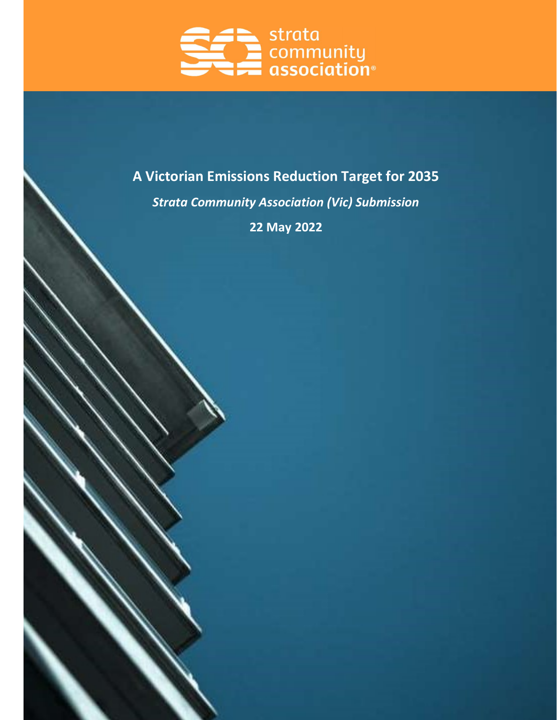

# A Victorian Emissions Reduction Target for 2035

Strata Community Association (Vic) Submission

22 May 2022

L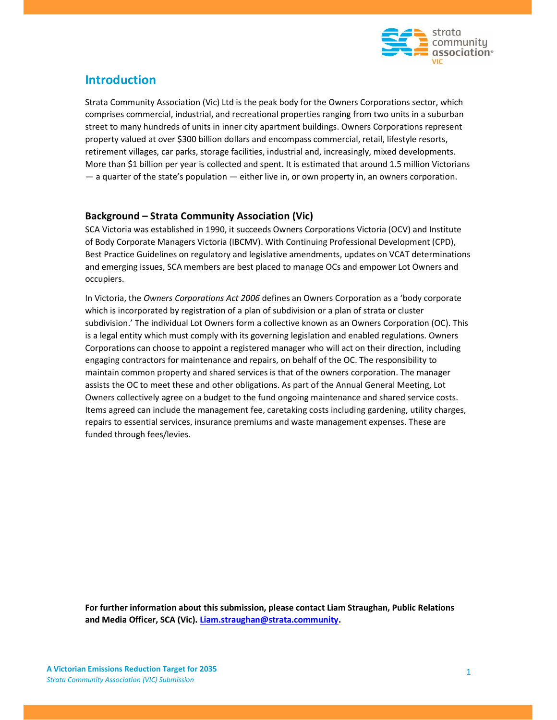

## Introduction

Strata Community Association (Vic) Ltd is the peak body for the Owners Corporations sector, which comprises commercial, industrial, and recreational properties ranging from two units in a suburban street to many hundreds of units in inner city apartment buildings. Owners Corporations represent property valued at over \$300 billion dollars and encompass commercial, retail, lifestyle resorts, retirement villages, car parks, storage facilities, industrial and, increasingly, mixed developments. More than \$1 billion per year is collected and spent. It is estimated that around 1.5 million Victorians — a quarter of the state's population — either live in, or own property in, an owners corporation.

#### Background – Strata Community Association (Vic)

SCA Victoria was established in 1990, it succeeds Owners Corporations Victoria (OCV) and Institute of Body Corporate Managers Victoria (IBCMV). With Continuing Professional Development (CPD), Best Practice Guidelines on regulatory and legislative amendments, updates on VCAT determinations and emerging issues, SCA members are best placed to manage OCs and empower Lot Owners and occupiers.

In Victoria, the Owners Corporations Act 2006 defines an Owners Corporation as a 'body corporate which is incorporated by registration of a plan of subdivision or a plan of strata or cluster subdivision.' The individual Lot Owners form a collective known as an Owners Corporation (OC). This is a legal entity which must comply with its governing legislation and enabled regulations. Owners Corporations can choose to appoint a registered manager who will act on their direction, including engaging contractors for maintenance and repairs, on behalf of the OC. The responsibility to maintain common property and shared services is that of the owners corporation. The manager assists the OC to meet these and other obligations. As part of the Annual General Meeting, Lot Owners collectively agree on a budget to the fund ongoing maintenance and shared service costs. Items agreed can include the management fee, caretaking costs including gardening, utility charges, repairs to essential services, insurance premiums and waste management expenses. These are funded through fees/levies.

For further information about this submission, please contact Liam Straughan, Public Relations and Media Officer, SCA (Vic). Liam.straughan@strata.community.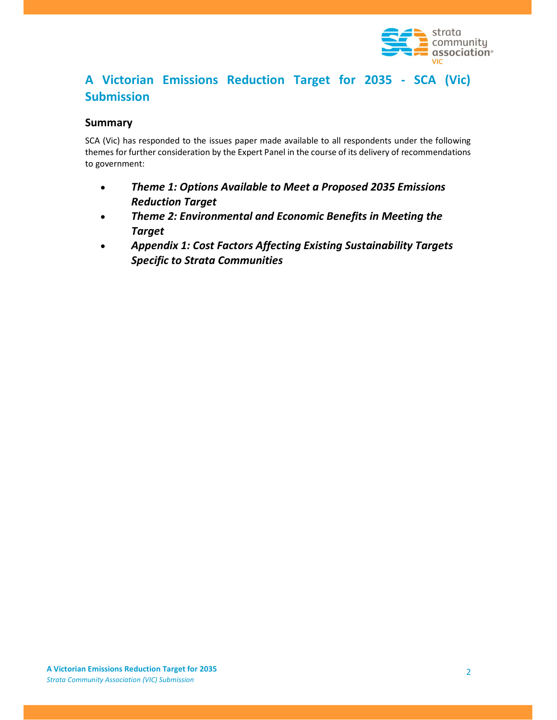

# A Victorian Emissions Reduction Target for 2035 - SCA (Vic) Submission

#### Summary

SCA (Vic) has responded to the issues paper made available to all respondents under the following themes for further consideration by the Expert Panel in the course of its delivery of recommendations to government:

- Theme 1: Options Available to Meet a Proposed 2035 Emissions Reduction Target
- Theme 2: Environmental and Economic Benefits in Meeting the Target
- Appendix 1: Cost Factors Affecting Existing Sustainability Targets Specific to Strata Communities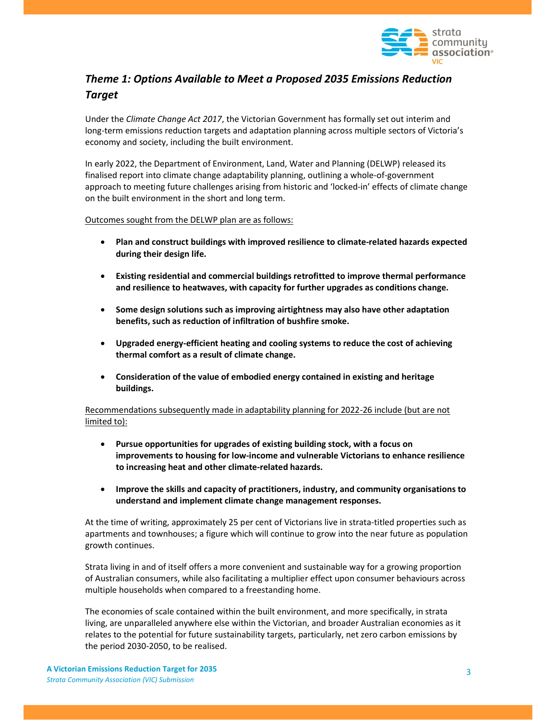

## Theme 1: Options Available to Meet a Proposed 2035 Emissions Reduction **Target**

Under the Climate Change Act 2017, the Victorian Government has formally set out interim and long-term emissions reduction targets and adaptation planning across multiple sectors of Victoria's economy and society, including the built environment.

In early 2022, the Department of Environment, Land, Water and Planning (DELWP) released its finalised report into climate change adaptability planning, outlining a whole-of-government approach to meeting future challenges arising from historic and 'locked-in' effects of climate change on the built environment in the short and long term.

Outcomes sought from the DELWP plan are as follows:

- Plan and construct buildings with improved resilience to climate-related hazards expected during their design life.
- Existing residential and commercial buildings retrofitted to improve thermal performance and resilience to heatwaves, with capacity for further upgrades as conditions change.
- Some design solutions such as improving airtightness may also have other adaptation benefits, such as reduction of infiltration of bushfire smoke.
- Upgraded energy-efficient heating and cooling systems to reduce the cost of achieving thermal comfort as a result of climate change.
- Consideration of the value of embodied energy contained in existing and heritage buildings.

Recommendations subsequently made in adaptability planning for 2022-26 include (but are not limited to):

- Pursue opportunities for upgrades of existing building stock, with a focus on improvements to housing for low-income and vulnerable Victorians to enhance resilience to increasing heat and other climate-related hazards.
- Improve the skills and capacity of practitioners, industry, and community organisations to understand and implement climate change management responses.

At the time of writing, approximately 25 per cent of Victorians live in strata-titled properties such as apartments and townhouses; a figure which will continue to grow into the near future as population growth continues.

Strata living in and of itself offers a more convenient and sustainable way for a growing proportion of Australian consumers, while also facilitating a multiplier effect upon consumer behaviours across multiple households when compared to a freestanding home.

The economies of scale contained within the built environment, and more specifically, in strata living, are unparalleled anywhere else within the Victorian, and broader Australian economies as it relates to the potential for future sustainability targets, particularly, net zero carbon emissions by the period 2030-2050, to be realised.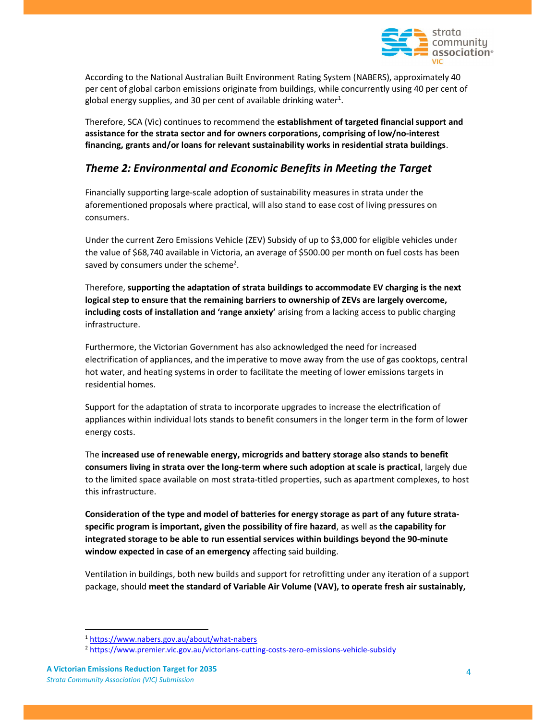

According to the National Australian Built Environment Rating System (NABERS), approximately 40 per cent of global carbon emissions originate from buildings, while concurrently using 40 per cent of global energy supplies, and 30 per cent of available drinking water<sup>1</sup>.

Therefore, SCA (Vic) continues to recommend the establishment of targeted financial support and assistance for the strata sector and for owners corporations, comprising of low/no-interest financing, grants and/or loans for relevant sustainability works in residential strata buildings.

#### Theme 2: Environmental and Economic Benefits in Meeting the Target

Financially supporting large-scale adoption of sustainability measures in strata under the aforementioned proposals where practical, will also stand to ease cost of living pressures on consumers.

Under the current Zero Emissions Vehicle (ZEV) Subsidy of up to \$3,000 for eligible vehicles under the value of \$68,740 available in Victoria, an average of \$500.00 per month on fuel costs has been saved by consumers under the scheme<sup>2</sup>.

Therefore, supporting the adaptation of strata buildings to accommodate EV charging is the next logical step to ensure that the remaining barriers to ownership of ZEVs are largely overcome, including costs of installation and 'range anxiety' arising from a lacking access to public charging infrastructure.

Furthermore, the Victorian Government has also acknowledged the need for increased electrification of appliances, and the imperative to move away from the use of gas cooktops, central hot water, and heating systems in order to facilitate the meeting of lower emissions targets in residential homes.

Support for the adaptation of strata to incorporate upgrades to increase the electrification of appliances within individual lots stands to benefit consumers in the longer term in the form of lower energy costs.

The increased use of renewable energy, microgrids and battery storage also stands to benefit consumers living in strata over the long-term where such adoption at scale is practical, largely due to the limited space available on most strata-titled properties, such as apartment complexes, to host this infrastructure.

Consideration of the type and model of batteries for energy storage as part of any future strataspecific program is important, given the possibility of fire hazard, as well as the capability for integrated storage to be able to run essential services within buildings beyond the 90-minute window expected in case of an emergency affecting said building.

Ventilation in buildings, both new builds and support for retrofitting under any iteration of a support package, should meet the standard of Variable Air Volume (VAV), to operate fresh air sustainably,

<sup>1</sup> https://www.nabers.gov.au/about/what-nabers

<sup>2</sup> https://www.premier.vic.gov.au/victorians-cutting-costs-zero-emissions-vehicle-subsidy